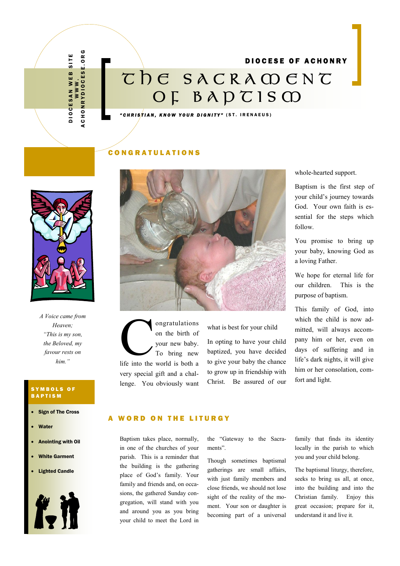D I O C E S A N W E B S I T E DIOCESAN WEB SITE<br>WWW.<br>Achonrydiocese.org A C H O N R Y D I O C E S E . O R G

# DIOCESE OF ACHONRY **T H E S A C R A M E N T O F B A P T I S M**

*" C H R I S T I A N , K N O W Y O U R D I G N I T Y "* ( S T . I R E N A E U S )

#### C O N G R A T U L A T I O N S



*A Voice came from Heaven; "This is my son, the Beloved, my favour rests on him."*

#### SYMBOLS OF B A P T I S M

- Sign of The Cross
- Water
- Anointing with Oil
- White Garment
- Lighted Candle





on gratulations<br>
on the birth of<br>
your new baby.<br>
To bring new<br>
life into the world is both a ongratulations on the birth of your new baby. To bring new very special gift and a challenge. You obviously want

#### what is best for your child

In opting to have your child baptized, you have decided to give your baby the chance to grow up in friendship with Christ. Be assured of our whole-hearted support.

Baptism is the first step of your child's journey towards God. Your own faith is essential for the steps which follow.

You promise to bring up your baby, knowing God as a loving Father.

We hope for eternal life for our children. This is the purpose of baptism.

This family of God, into which the child is now admitted, will always accompany him or her, even on days of suffering and in life's dark nights, it will give him or her consolation, comfort and light.

#### **WORD ON THE LITURGY**

Baptism takes place, normally, in one of the churches of your parish. This is a reminder that the building is the gathering place of God's family. Your family and friends and, on occasions, the gathered Sunday congregation, will stand with you and around you as you bring your child to meet the Lord in

the "Gateway to the Sacraments".

Though sometimes baptismal gatherings are small affairs, with just family members and close friends, we should not lose sight of the reality of the moment. Your son or daughter is becoming part of a universal

family that finds its identity locally in the parish to which you and your child belong.

The baptismal liturgy, therefore, seeks to bring us all, at once, into the building and into the Christian family. Enjoy this great occasion; prepare for it, understand it and live it.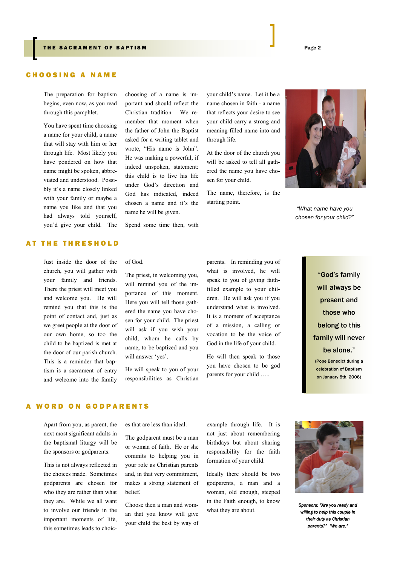#### **CHOOSING A NAME**

The preparation for baptism begins, even now, as you read through this pamphlet.

You have spent time choosing a name for your child, a name that will stay with him or her through life. Most likely you have pondered on how that name might be spoken, abbreviated and understood. Possibly it's a name closely linked with your family or maybe a name you like and that you had always told yourself, you'd give your child. The

## choosing of a name is important and should reflect the Christian tradition. We remember that moment when the father of John the Baptist asked for a writing tablet and wrote, "His name is John". He was making a powerful, if indeed unspoken, statement: this child is to live his life under God's direction and God has indicated, indeed chosen a name and it's the name he will be given.

Spend some time then, with

your child's name. Let it be a name chosen in faith - a name that reflects your desire to see your child carry a strong and meaning-filled name into and through life.

At the door of the church you will be asked to tell all gathered the name you have chosen for your child.

The name, therefore, is the starting point.



*"What name have you chosen for your child?"*

#### AT THE THRESHOLD

Just inside the door of the church, you will gather with your family and friends. There the priest will meet you and welcome you. He will remind you that this is the point of contact and, just as we greet people at the door of our own home, so too the child to be baptized is met at the door of our parish church. This is a reminder that baptism is a sacrament of entry and welcome into the family

of God.

The priest, in welcoming you, will remind you of the importance of this moment. Here you will tell those gathered the name you have chosen for your child. The priest will ask if you wish your child, whom he calls by name, to be baptized and you will answer 'yes'.

He will speak to you of your responsibilities as Christian parents. In reminding you of what is involved, he will speak to you of giving faithfilled example to your children. He will ask you if you understand what is involved. It is a moment of acceptance of a mission, a calling or vocation to be the voice of God in the life of your child.

He will then speak to those you have chosen to be god parents for your child …..

"God's family will always be present and those who belong to this family will never be alone."

(Pope Benedict during a celebration of Baptism on January 8th, 2006)

#### **WORD ON GODPARENTS**

Apart from you, as parent, the next most significant adults in the baptismal liturgy will be the sponsors or godparents.

This is not always reflected in the choices made. Sometimes godparents are chosen for who they are rather than what they are. While we all want to involve our friends in the important moments of life, this sometimes leads to choices that are less than ideal.

The godparent must be a man or woman of faith. He or she commits to helping you in your role as Christian parents and, in that very commitment, makes a strong statement of belief.

Choose then a man and woman that you know will give your child the best by way of example through life. It is not just about remembering birthdays but about sharing responsibility for the faith formation of your child.

Ideally there should be two godparents, a man and a woman, old enough, steeped in the Faith enough, to know what they are about.



*Sponsors: "Are you ready and willing to help this couple in their duty as Christian parents?" "We are."*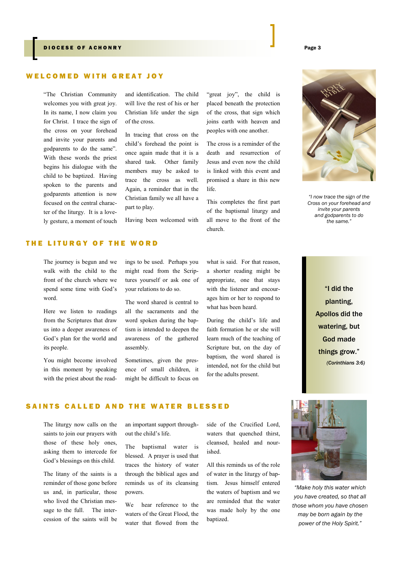#### DIOCESE OF ACHONRY Page 3

#### WELCOMED WITH GREAT JOY

"The Christian Community welcomes you with great joy. In its name, I now claim you for Christ. I trace the sign of the cross on your forehead and invite your parents and godparents to do the same". With these words the priest begins his dialogue with the child to be baptized. Having spoken to the parents and godparents attention is now focused on the central character of the liturgy. It is a lovely gesture, a moment of touch

and identification. The child will live the rest of his or her Christian life under the sign of the cross.

In tracing that cross on the child's forehead the point is once again made that it is a shared task. Other family members may be asked to trace the cross as well. Again, a reminder that in the Christian family we all have a part to play.

Having been welcomed with

"great joy", the child is placed beneath the protection of the cross, that sign which joins earth with heaven and peoples with one another.

The cross is a reminder of the death and resurrection of Jesus and even now the child is linked with this event and promised a share in this new life.

This completes the first part of the baptismal liturgy and all move to the front of the church.



*"I now trace the sign of the Cross on your forehead and invite your parents and godparents to do the same."*

# "I did the planting, Apollos did the watering, but God made things grow." *(Corinthians 3:6)*

#### THE LITURGY OF THE WORD

The journey is begun and we walk with the child to the front of the church where we spend some time with God's word.

Here we listen to readings from the Scriptures that draw us into a deeper awareness of God's plan for the world and its people.

You might become involved in this moment by speaking with the priest about the read-

ings to be used. Perhaps you might read from the Scriptures yourself or ask one of your relations to do so.

The word shared is central to all the sacraments and the word spoken during the baptism is intended to deepen the awareness of the gathered assembly.

Sometimes, given the presence of small children, it might be difficult to focus on what is said. For that reason, a shorter reading might be appropriate, one that stays with the listener and encourages him or her to respond to what has been heard.

During the child's life and faith formation he or she will learn much of the teaching of Scripture but, on the day of baptism, the word shared is intended, not for the child but for the adults present.

### SAINTS CALLED AND THE WATER BLESSED

The liturgy now calls on the saints to join our prayers with those of these holy ones, asking them to intercede for God's blessings on this child.

The litany of the saints is a reminder of those gone before us and, in particular, those who lived the Christian message to the full. The intercession of the saints will be

an important support throughout the child's life.

The baptismal water is blessed. A prayer is used that traces the history of water through the biblical ages and reminds us of its cleansing powers.

We hear reference to the waters of the Great Flood, the water that flowed from the side of the Crucified Lord, waters that quenched thirst, cleansed, healed and nourished.

All this reminds us of the role of water in the liturgy of baptism. Jesus himself entered the waters of baptism and we are reminded that the water was made holy by the one baptized.



*"Make holy this water which you have created, so that all those whom you have chosen may be born again by the power of the Holy Spirit."*